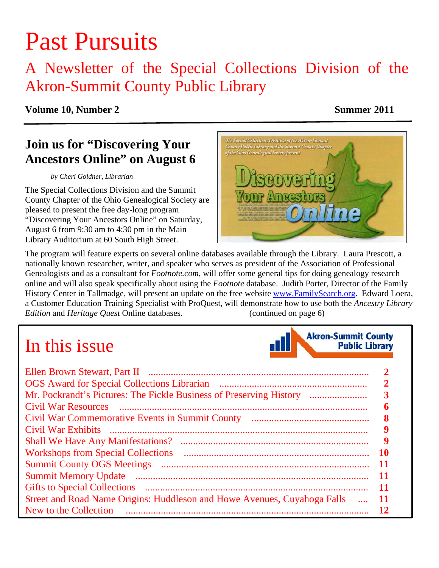# Past Pursuits

# A Newsletter of the Special Collections Division of the Akron-Summit County Public Library

### **Volume 10, Number 2** Summer 2011

# **Join us for "Discovering Your Ancestors Online" on August 6**

#### *by Cheri Goldner, Librarian*

The Special Collections Division and the Summit County Chapter of the Ohio Genealogical Society are pleased to present the free day-long program "Discovering Your Ancestors Online" on Saturday, August 6 from 9:30 am to 4:30 pm in the Main Library Auditorium at 60 South High Street.



The program will feature experts on several online databases available through the Library. Laura Prescott, a nationally known researcher, writer, and speaker who serves as president of the Association of Professional Genealogists and as a consultant for *Footnote.com*, will offer some general tips for doing genealogy research online and will also speak specifically about using the *Footnote* database. Judith Porter, Director of the Family History Center in Tallmadge, will present an update on the free website www.FamilySearch.org. Edward Loera, a Customer Education Training Specialist with ProQuest, will demonstrate how to use both the *Ancestry Library Edition* and *Heritage Quest* Online databases. ([continued on page 6\)](#page-5-0)

# In this issue



|                                                                          | 7  |
|--------------------------------------------------------------------------|----|
| Mr. Pockrandt's Pictures: The Fickle Business of Preserving History      |    |
| <b>Civil War Resources</b>                                               |    |
|                                                                          | 8  |
|                                                                          |    |
| <b>Shall We Have Any Manifestations?</b>                                 | y  |
|                                                                          | 10 |
|                                                                          | 11 |
|                                                                          | 11 |
|                                                                          | Ш  |
| Street and Road Name Origins: Huddleson and Howe Avenues, Cuyahoga Falls |    |
| New to the Collection                                                    | 12 |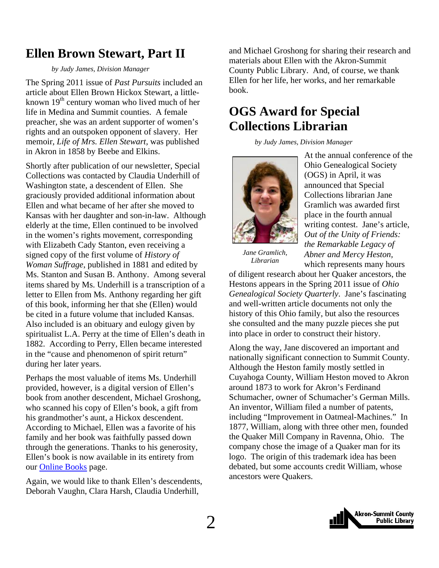# <span id="page-1-0"></span>**Ellen Brown Stewart, Part II**

#### *by Judy James, Division Manager*

The Spring 2011 issue of *Past Pursuits* included an article about Ellen Brown Hickox Stewart, a littleknown  $19<sup>th</sup>$  century woman who lived much of her life in Medina and Summit counties. A female preacher, she was an ardent supporter of women's rights and an outspoken opponent of slavery. Her memoir, *Life of Mrs. Ellen Stewart,* was published in Akron in 1858 by Beebe and Elkins.

Shortly after publication of our newsletter, Special Collections was contacted by Claudia Underhill of Washington state, a descendent of Ellen. She graciously provided additional information about Ellen and what became of her after she moved to Kansas with her daughter and son-in-law. Although elderly at the time, Ellen continued to be involved in the women's rights movement, corresponding with Elizabeth Cady Stanton, even receiving a signed copy of the first volume of *History of Woman Suffrage*, published in 1881 and edited by Ms. Stanton and Susan B. Anthony. Among several items shared by Ms. Underhill is a transcription of a letter to Ellen from Ms. Anthony regarding her gift of this book, informing her that she (Ellen) would be cited in a future volume that included Kansas. Also included is an obituary and eulogy given by spiritualist L.A. Perry at the time of Ellen's death in 1882. According to Perry, Ellen became interested in the "cause and phenomenon of spirit return" during her later years.

Perhaps the most valuable of items Ms. Underhill provided, however, is a digital version of Ellen's book from another descendent, Michael Groshong, who scanned his copy of Ellen's book, a gift from his grandmother's aunt, a Hickox descendent. According to Michael, Ellen was a favorite of his family and her book was faithfully passed down through the generations. Thanks to his generosity, Ellen's book is now available in its entirety from our [Online Books](http://sc.akronlibrary.org/local-history/online-books/) page.

Again, we would like to thank Ellen's descendents, Deborah Vaughn, Clara Harsh, Claudia Underhill,

and Michael Groshong for sharing their research and materials about Ellen with the Akron-Summit County Public Library. And, of course, we thank Ellen for her life, her works, and her remarkable book.

# **OGS Award for Special Collections Librarian**

 *by Judy James, Division Manager* 



At the annual conference of the Ohio Genealogical Society (OGS) in April, it was announced that Special Collections librarian Jane Gramlich was awarded first place in the fourth annual writing contest. Jane's article, *Out of the Unity of Friends: the Remarkable Legacy of Abner and Mercy Heston,*  which represents many hours

*Jane Gramlich, Librarian*

of diligent research about her Quaker ancestors, the Hestons appears in the Spring 2011 issue of *Ohio Genealogical Society Quarterly*. Jane's fascinating and well-written article documents not only the history of this Ohio family, but also the resources she consulted and the many puzzle pieces she put into place in order to construct their history.

Along the way, Jane discovered an important and nationally significant connection to Summit County. Although the Heston family mostly settled in Cuyahoga County, William Heston moved to Akron around 1873 to work for Akron's Ferdinand Schumacher, owner of Schumacher's German Mills. An inventor, William filed a number of patents, including "Improvement in Oatmeal-Machines." In 1877, William, along with three other men, founded the Quaker Mill Company in Ravenna, Ohio. The company chose the image of a Quaker man for its logo. The origin of this trademark idea has been debated, but some accounts credit William, whose ancestors were Quakers.

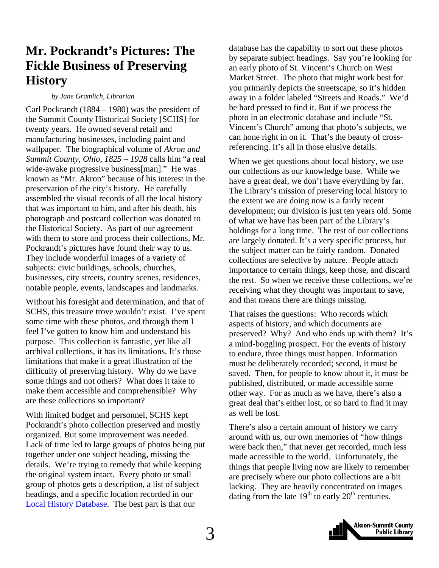# <span id="page-2-0"></span>**Mr. Pockrandt's Pictures: The Fickle Business of Preserving History**

#### *by Jane Gramlich, Librarian*

Carl Pockrandt (1884 – 1980) was the president of the Summit County Historical Society [SCHS] for twenty years. He owned several retail and manufacturing businesses, including paint and wallpaper. The biographical volume of *Akron and Summit County, Ohio, 1825 – 1928* calls him "a real wide-awake progressive business[man]." He was known as "Mr. Akron" because of his interest in the preservation of the city's history. He carefully assembled the visual records of all the local history that was important to him, and after his death, his photograph and postcard collection was donated to the Historical Society. As part of our agreement with them to store and process their collections, Mr. Pockrandt's pictures have found their way to us. They include wonderful images of a variety of subjects: civic buildings, schools, churches, businesses, city streets, country scenes, residences, notable people, events, landscapes and landmarks.

Without his foresight and determination, and that of SCHS, this treasure trove wouldn't exist. I've spent some time with these photos, and through them I feel I've gotten to know him and understand his purpose. This collection is fantastic, yet like all archival collections, it has its limitations. It's those limitations that make it a great illustration of the difficulty of preserving history. Why do we have some things and not others? What does it take to make them accessible and comprehensible? Why are these collections so important?

With limited budget and personnel, SCHS kept Pockrandt's photo collection preserved and mostly organized. But some improvement was needed. Lack of time led to large groups of photos being put together under one subject heading, missing the details. We're trying to remedy that while keeping the original system intact. Every photo or small group of photos gets a description, a list of subject headings, and a specific location recorded in our [Local History Database.](http://www.akronlibrary.org/DBS/SpecColldbO/Default.aspx) The best part is that our

database has the capability to sort out these photos by separate subject headings. Say you're looking for an early photo of St. Vincent's Church on West Market Street. The photo that might work best for you primarily depicts the streetscape, so it's hidden away in a folder labeled "Streets and Roads." We'd be hard pressed to find it. But if we process the photo in an electronic database and include "St. Vincent's Church" among that photo's subjects, we can hone right in on it. That's the beauty of crossreferencing. It's all in those elusive details.

When we get questions about local history, we use our collections as our knowledge base. While we have a great deal, we don't have everything by far. The Library's mission of preserving local history to the extent we are doing now is a fairly recent development; our division is just ten years old. Some of what we have has been part of the Library's holdings for a long time. The rest of our collections are largely donated. It's a very specific process, but the subject matter can be fairly random. Donated collections are selective by nature. People attach importance to certain things, keep those, and discard the rest. So when we receive these collections, we're receiving what they thought was important to save, and that means there are things missing.

That raises the questions: Who records which aspects of history, and which documents are preserved? Why? And who ends up with them? It's a mind-boggling prospect. For the events of history to endure, three things must happen. Information must be deliberately recorded; second, it must be saved. Then, for people to know about it, it must be published, distributed, or made accessible some other way. For as much as we have, there's also a great deal that's either lost, or so hard to find it may as well be lost.

There's also a certain amount of history we carry around with us, our own memories of "how things were back then," that never get recorded, much less made accessible to the world. Unfortunately, the things that people living now are likely to remember are precisely where our photo collections are a bit lacking. They are heavily concentrated on images dating from the late  $19<sup>th</sup>$  to early  $20<sup>th</sup>$  centuries.

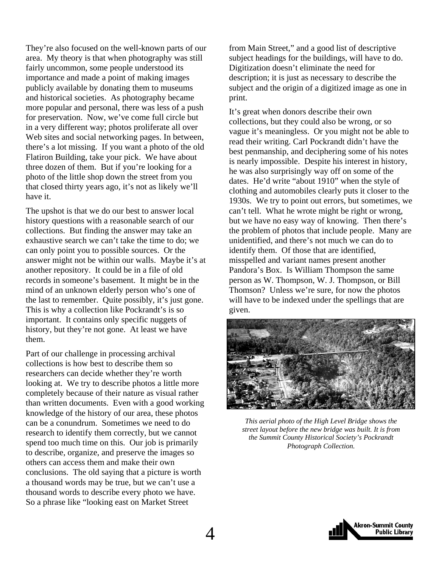They're also focused on the well-known parts of our area. My theory is that when photography was still fairly uncommon, some people understood its importance and made a point of making images publicly available by donating them to museums and historical societies. As photography became more popular and personal, there was less of a push for preservation. Now, we've come full circle but in a very different way; photos proliferate all over Web sites and social networking pages. In between, there's a lot missing. If you want a photo of the old Flatiron Building, take your pick. We have about three dozen of them. But if you're looking for a photo of the little shop down the street from you that closed thirty years ago, it's not as likely we'll have it.

The upshot is that we do our best to answer local history questions with a reasonable search of our collections. But finding the answer may take an exhaustive search we can't take the time to do; we can only point you to possible sources. Or the answer might not be within our walls. Maybe it's at another repository. It could be in a file of old records in someone's basement. It might be in the mind of an unknown elderly person who's one of the last to remember. Quite possibly, it's just gone. This is why a collection like Pockrandt's is so important. It contains only specific nuggets of history, but they're not gone. At least we have them.

Part of our challenge in processing archival collections is how best to describe them so researchers can decide whether they're worth looking at. We try to describe photos a little more completely because of their nature as visual rather than written documents. Even with a good working knowledge of the history of our area, these photos can be a conundrum. Sometimes we need to do research to identify them correctly, but we cannot spend too much time on this. Our job is primarily to describe, organize, and preserve the images so others can access them and make their own conclusions. The old saying that a picture is worth a thousand words may be true, but we can't use a thousand words to describe every photo we have. So a phrase like "looking east on Market Street

from Main Street," and a good list of descriptive subject headings for the buildings, will have to do. Digitization doesn't eliminate the need for description; it is just as necessary to describe the subject and the origin of a digitized image as one in print.

It's great when donors describe their own collections, but they could also be wrong, or so vague it's meaningless. Or you might not be able to read their writing. Carl Pockrandt didn't have the best penmanship, and deciphering some of his notes is nearly impossible. Despite his interest in history, he was also surprisingly way off on some of the dates. He'd write "about 1910" when the style of clothing and automobiles clearly puts it closer to the 1930s. We try to point out errors, but sometimes, we can't tell. What he wrote might be right or wrong, but we have no easy way of knowing. Then there's the problem of photos that include people. Many are unidentified, and there's not much we can do to identify them. Of those that are identified, misspelled and variant names present another Pandora's Box. Is William Thompson the same person as W. Thompson, W. J. Thompson, or Bill Thomson? Unless we're sure, for now the photos will have to be indexed under the spellings that are given.



*This aerial photo of the High Level Bridge shows the street layout before the new bridge was built. It is from the Summit County Historical Society's Pockrandt Photograph Collection.* 

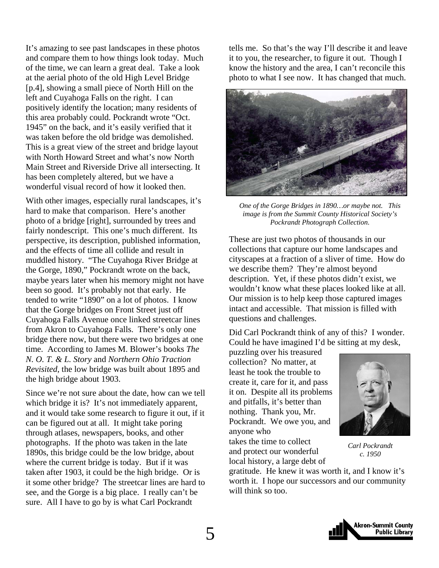It's amazing to see past landscapes in these photos and compare them to how things look today. Much of the time, we can learn a great deal. Take a look at the aerial photo of the old High Level Bridge [p.4], showing a small piece of North Hill on the left and Cuyahoga Falls on the right. I can positively identify the location; many residents of this area probably could. Pockrandt wrote "Oct. 1945" on the back, and it's easily verified that it was taken before the old bridge was demolished. This is a great view of the street and bridge layout with North Howard Street and what's now North Main Street and Riverside Drive all intersecting. It has been completely altered, but we have a wonderful visual record of how it looked then.

With other images, especially rural landscapes, it's hard to make that comparison. Here's another photo of a bridge [right], surrounded by trees and fairly nondescript. This one's much different. Its perspective, its description, published information, and the effects of time all collide and result in muddled history. "The Cuyahoga River Bridge at the Gorge, 1890," Pockrandt wrote on the back, maybe years later when his memory might not have been so good. It's probably not that early. He tended to write "1890" on a lot of photos. I know that the Gorge bridges on Front Street just off Cuyahoga Falls Avenue once linked streetcar lines from Akron to Cuyahoga Falls. There's only one bridge there now, but there were two bridges at one time. According to James M. Blower's books *The N. O. T. & L. Story* and *Northern Ohio Traction Revisited*, the low bridge was built about 1895 and the high bridge about 1903.

Since we're not sure about the date, how can we tell which bridge it is? It's not immediately apparent, and it would take some research to figure it out, if it can be figured out at all. It might take poring through atlases, newspapers, books, and other photographs. If the photo was taken in the late 1890s, this bridge could be the low bridge, about where the current bridge is today. But if it was taken after 1903, it could be the high bridge. Or is it some other bridge? The streetcar lines are hard to see, and the Gorge is a big place. I really can't be sure. All I have to go by is what Carl Pockrandt

tells me. So that's the way I'll describe it and leave it to you, the researcher, to figure it out. Though I know the history and the area, I can't reconcile this photo to what I see now. It has changed that much.



*One of the Gorge Bridges in 1890…or maybe not. This image is from the Summit County Historical Society's Pockrandt Photograph Collection.* 

These are just two photos of thousands in our collections that capture our home landscapes and cityscapes at a fraction of a sliver of time. How do we describe them? They're almost beyond description. Yet, if these photos didn't exist, we wouldn't know what these places looked like at all. Our mission is to help keep those captured images intact and accessible. That mission is filled with questions and challenges.

Did Carl Pockrandt think of any of this? I wonder. Could he have imagined I'd be sitting at my desk,

puzzling over his treasured collection? No matter, at least he took the trouble to create it, care for it, and pass it on. Despite all its problems and pitfalls, it's better than nothing. Thank you, Mr. Pockrandt. We owe you, and anyone who

takes the time to collect and protect our wonderful local history, a large debt of



*Carl Pockrandt c. 1950*

gratitude. He knew it was worth it, and I know it's worth it. I hope our successors and our community will think so too.

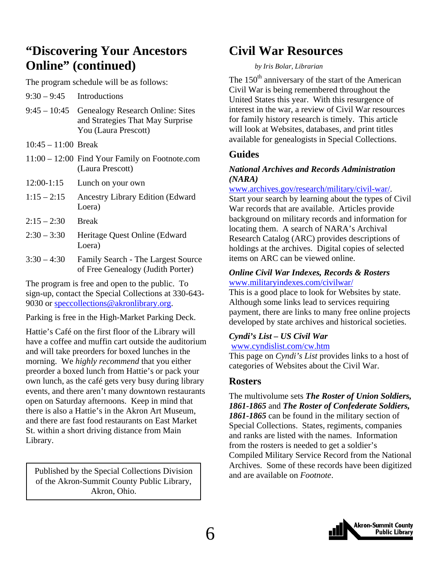# <span id="page-5-0"></span>**"Discovering Your Ancestors Online" (continued)**

The program schedule will be as follows:

- $9:30 9:45$  Introductions
- 9:45 10:45 Genealogy Research Online: Sites and Strategies That May Surprise You (Laura Prescott)
- 10:45 11:00 Break
- 11:00 12:00 Find Your Family on Footnote.com (Laura Prescott)
- 12:00-1:15 Lunch on your own
- 1:15 2:15 Ancestry Library Edition (Edward Loera)
- $2:15 2:30$  Break
- 2:30 3:30 Heritage Quest Online (Edward Loera)
- 3:30 4:30 Family Search The Largest Source of Free Genealogy (Judith Porter)

The program is free and open to the public. To sign-up, contact the Special Collections at 330-643- 9030 or speccollections@akronlibrary.org.

Parking is free in the High-Market Parking Deck.

Hattie's Café on the first floor of the Library will have a coffee and muffin cart outside the auditorium and will take preorders for boxed lunches in the morning. We *highly recommend* that you either preorder a boxed lunch from Hattie's or pack your own lunch, as the café gets very busy during library events, and there aren't many downtown restaurants open on Saturday afternoons. Keep in mind that there is also a Hattie's in the Akron Art Museum, and there are fast food restaurants on East Market St. within a short driving distance from Main Library.

Published by the Special Collections Division and are available on *Footnote*. of the Akron-Summit County Public Library, Akron, Ohio.

# **Civil War Resources**

#### *by Iris Bolar, Librarian*

The  $150<sup>th</sup>$  anniversary of the start of the American Civil War is being remembered throughout the United States this year. With this resurgence of interest in the war, a review of Civil War resources for family history research is timely. This article will look at Websites, databases, and print titles available for genealogists in Special Collections.

### **Guides**

#### *National Archives and Records Administration (NARA)*

#### www.archives.gov/research/military/civil-war/.

Start your search by learning about the types of Civil War records that are available. Articles provide background on military records and information for locating them. A search of NARA's Archival Research Catalog (ARC) provides descriptions of holdings at the archives. Digital copies of selected items on ARC can be viewed online.

#### *Online Civil War Indexes, Records & Rosters*  www.militaryindexes.com/civilwar/

This is a good place to look for Websites by state. Although some links lead to services requiring payment, there are links to many free online projects developed by state archives and historical societies.

#### *Cyndi's List – US Civil War*  www.cyndislist.com/cw.htm

This page on *Cyndi's List* provides links to a host of categories of Websites about the Civil War.

### **Rosters**

The multivolume sets *The Roster of Union Soldiers, 1861-1865* and *The Roster of Confederate Soldiers, 1861-1865* can be found in the military section of Special Collections. States, regiments, companies and ranks are listed with the names. Information from the rosters is needed to get a soldier's Compiled Military Service Record from the National Archives. Some of these records have been digitized

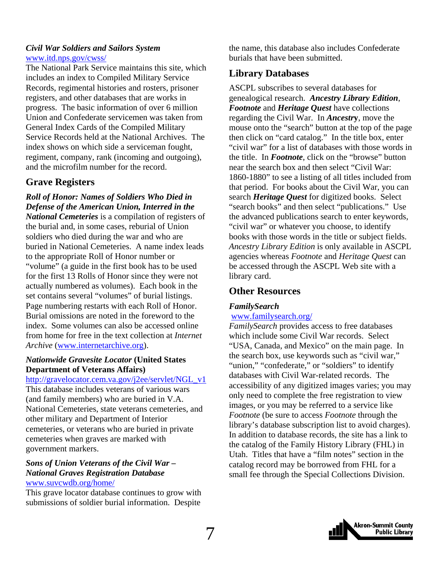#### *Civil War Soldiers and Sailors System*  www.itd.nps.gov/cwss/

The National Park Service maintains this site, which includes an index to Compiled Military Service Records, regimental histories and rosters, prisoner registers, and other databases that are works in progress. The basic information of over 6 million Union and Confederate servicemen was taken from General Index Cards of the Compiled Military Service Records held at the National Archives. The index shows on which side a serviceman fought, regiment, company, rank (incoming and outgoing), and the microfilm number for the record.

### **Grave Registers**

#### *Roll of Honor: Names of Soldiers Who Died in Defense of the American Union, Interred in the*

*National Cemeteries* is a compilation of registers of the burial and, in some cases, reburial of Union soldiers who died during the war and who are buried in National Cemeteries. A name index leads to the appropriate Roll of Honor number or "volume" (a guide in the first book has to be used for the first 13 Rolls of Honor since they were not actually numbered as volumes). Each book in the set contains several "volumes" of burial listings. Page numbering restarts with each Roll of Honor. Burial omissions are noted in the foreword to the index. Some volumes can also be accessed online from home for free in the text collection at *Internet Archive* (www.internetarchive.org).

#### *Nationwide Gravesite Locator* **(United States Department of Veterans Affairs)**

#### http://gravelocator.cem.va.gov/j2ee/servlet/NGL\_v1

This database includes veterans of various wars (and family members) who are buried in V.A. National Cemeteries, state veterans cemeteries, and other military and Department of Interior cemeteries, or veterans who are buried in private cemeteries when graves are marked with government markers.

#### *Sons of Union Veterans of the Civil War – National Graves Registration Database*  www.suvcwdb.org/home/

This grave locator database continues to grow with submissions of soldier burial information. Despite

the name, this database also includes Confederate burials that have been submitted.

### **Library Databases**

ASCPL subscribes to several databases for genealogical research. *Ancestry Library Edition*, *Footnote* and *Heritage Quest* have collections regarding the Civil War. In *Ancestr***y**, move the mouse onto the "search" button at the top of the page then click on "card catalog." In the title box, enter "civil war" for a list of databases with those words in the title. In *Footnote*, click on the "browse" button near the search box and then select "Civil War: 1860-1880" to see a listing of all titles included from that period. For books about the Civil War, you can search *Heritage Quest* for digitized books. Select "search books" and then select "publications." Use the advanced publications search to enter keywords, "civil war" or whatever you choose, to identify books with those words in the title or subject fields. *Ancestry Library Edition* is only available in ASCPL agencies whereas *Footnote* and *Heritage Quest* can be accessed through the ASCPL Web site with a library card.

### **Other Resources**

### *FamilySearch*

#### www.familysearch.org/

*FamilySearch* provides access to free databases which include some Civil War records. Select "USA, Canada, and Mexico" on the main page. In the search box, use keywords such as "civil war," "union," "confederate," or "soldiers" to identify databases with Civil War-related records. The accessibility of any digitized images varies; you may only need to complete the free registration to view images, or you may be referred to a service like *Footnote* (be sure to access *Footnote* through the library's database subscription list to avoid charges). In addition to database records, the site has a link to the catalog of the Family History Library (FHL) in Utah. Titles that have a "film notes" section in the catalog record may be borrowed from FHL for a small fee through the Special Collections Division.

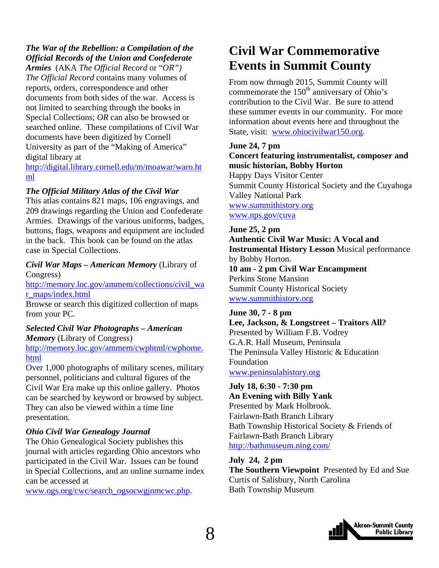# <span id="page-7-0"></span>*The War of the Rebellion: a Compilation of the Official Records of the Union and Confederate*

*Armies* (AKA *The Official Record* or "*OR") The Official Record* contains many volumes of reports, orders, correspondence and other documents from both sides of the war. Access is not limited to searching through the books in Special Collections; *OR* can also be browsed or searched online. These compilations of Civil War documents have been digitized by Cornell University as part of the "Making of America" digital library at

[http://digital.library.cornell.edu/m/moawar/waro.ht](http://digital.library.cornell.edu/m/moawar/waro.html) ml

#### *The Official Military Atlas of the Civil War*

This atlas contains 821 maps, 106 engravings, and 209 drawings regarding the Union and Confederate Armies. Drawings of the various uniforms, badges, buttons, flags, weapons and equipment are included in the back. This book can be found on the atlas case in Special Collections.

*Civil War Maps – American Memory* (Library of Congress)

[http://memory.loc.gov/ammem/collections/civil\\_wa](http://memory.loc.gov/ammem/collections/civil_war_maps/index.html) r\_maps/index.html

Browse or search this digitized collection of maps from your PC.

#### *Selected Civil War Photographs – American Memory* (Library of Congress)

[http://memory.loc.gov/ammem/cwphtml/cwphome.](http://memory.loc.gov/ammem/cwphtml/cwphome.html) html

Over 1,000 photographs of military scenes, military personnel, politicians and cultural figures of the Civil War Era make up this online gallery. Photos can be searched by keyword or browsed by subject. They can also be viewed within a time line presentation.

#### *Ohio Civil War Genealogy Journal*

The Ohio Genealogical Society publishes this journal with articles regarding Ohio ancestors who participated in the Civil War. Issues can be found in Special Collections, and an online surname index can be accessed at

www.ogs.org/cwc/search\_ogsocwgjnmcwc.php.

# **Civil War Commemorative Events in Summit County**

From now through 2015, Summit County will commemorate the  $150<sup>th</sup>$  anniversary of Ohio's contribution to the Civil War. Be sure to attend these summer events in our community. For more information about events here and throughout the State, visit: www.ohiocivilwar150.org.

#### **June 24, 7 pm**

#### **Concert featuring instrumentalist, composer and music historian, Bobby Horton**

Happy Days Visitor Center Summit County Historical Society and the Cuyahoga Valley National Park www.summithistory.org www.nps.gov/cuva

**June 25, 2 pm Authentic Civil War Music: A Vocal and Instrumental History Lesson** Musical performance by Bobby Horton. **10 am - 2 pm Civil War Encampment**  Perkins Stone Mansion Summit County Historical Society www.summithistory.org

#### **June 30, 7 - 8 pm Lee, Jackson, & Longstreet – Traitors All?**  Presented by William F.B. Vodrey G.A.R. Hall Museum, Peninsula The Peninsula Valley Historic & Education Foundation www.peninsulahistory.org

**July 18, 6:30 - 7:30 pm An Evening with Billy Yank**  Presented by Mark Holbrook. Fairlawn-Bath Branch Library Bath Township Historical Society & Friends of Fairlawn-Bath Branch Library http://bathmuseum.ning.com/

#### **July 24, 2 pm**

**The Southern Viewpoint** Presented by Ed and Sue Curtis of Salisbury, North Carolina Bath Township Museum

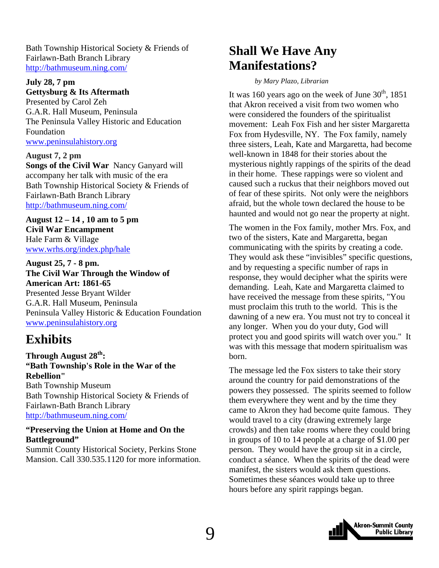<span id="page-8-0"></span>Bath Township Historical Society & Friends of Fairlawn-Bath Branch Library http://bathmuseum.ning.com/

#### **July 28, 7 pm Gettysburg & Its Aftermath**

Presented by Carol Zeh G.A.R. Hall Museum, Peninsula The Peninsula Valley Historic and Education Foundation www.peninsulahistory.org

**August 7, 2 pm Songs of the Civil War** Nancy Ganyard will accompany her talk with music of the era Bath Township Historical Society & Friends of Fairlawn-Bath Branch Library http://bathmuseum.ning.com/

**August 12 – 14 , 10 am to 5 pm Civil War Encampment**  Hale Farm & Village www.wrhs.org/index.php/hale

**August 25, 7 - 8 pm. The Civil War Through the Window of American Art: 1861-65**  Presented Jesse Bryant Wilder G.A.R. Hall Museum, Peninsula Peninsula Valley Historic & Education Foundation www.peninsulahistory.org

# **Exhibits**

**Through August 28th: "Bath Township's Role in the War of the Rebellion"**  Bath Township Museum Bath Township Historical Society & Friends of Fairlawn-Bath Branch Library http://bathmuseum.ning.com/

#### **"Preserving the Union at Home and On the Battleground"**

Summit County Historical Society, Perkins Stone Mansion. Call 330.535.1120 for more information.

# **Shall We Have Any Manifestations?**

 *by Mary Plazo, Librarian* 

It was 160 years ago on the week of June  $30<sup>th</sup>$ , 1851 that Akron received a visit from two women who were considered the founders of the spiritualist movement: Leah Fox Fish and her sister Margaretta Fox from Hydesville, NY. The Fox family, namely three sisters, Leah, Kate and Margaretta, had become well-known in 1848 for their stories about the mysterious nightly rappings of the spirits of the dead in their home. These rappings were so violent and caused such a ruckus that their neighbors moved out of fear of these spirits. Not only were the neighbors afraid, but the whole town declared the house to be haunted and would not go near the property at night.

The women in the Fox family, mother Mrs. Fox, and two of the sisters, Kate and Margaretta, began communicating with the spirits by creating a code. They would ask these "invisibles" specific questions, and by requesting a specific number of raps in response, they would decipher what the spirits were demanding. Leah, Kate and Margaretta claimed to have received the message from these spirits, "You must proclaim this truth to the world. This is the dawning of a new era. You must not try to conceal it any longer. When you do your duty, God will protect you and good spirits will watch over you." It was with this message that modern spiritualism was born.

The message led the Fox sisters to take their story around the country for paid demonstrations of the powers they possessed. The spirits seemed to follow them everywhere they went and by the time they came to Akron they had become quite famous. They would travel to a city (drawing extremely large crowds) and then take rooms where they could bring in groups of 10 to 14 people at a charge of \$1.00 per person. They would have the group sit in a circle, conduct a séance. When the spirits of the dead were manifest, the sisters would ask them questions. Sometimes these séances would take up to three hours before any spirit rappings began.

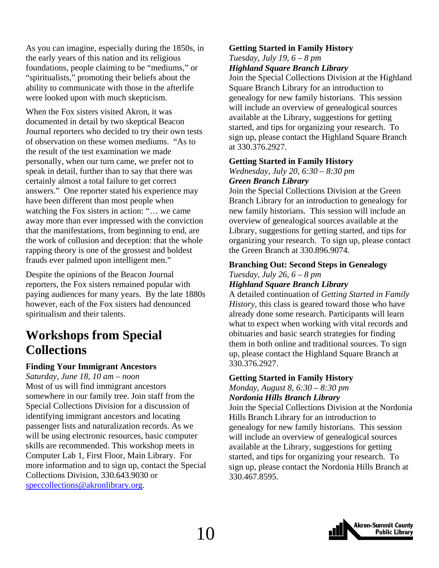<span id="page-9-0"></span>As you can imagine, especially during the 1850s, in the early years of this nation and its religious foundations, people claiming to be "mediums," or "spiritualists," promoting their beliefs about the ability to communicate with those in the afterlife were looked upon with much skepticism.

When the Fox sisters visited Akron, it was documented in detail by two skeptical Beacon Journal reporters who decided to try their own tests of observation on these women mediums. "As to the result of the test examination we made personally, when our turn came, we prefer not to speak in detail, further than to say that there was certainly almost a total failure to get correct answers." One reporter stated his experience may have been different than most people when watching the Fox sisters in action: "… we came away more than ever impressed with the conviction that the manifestations, from beginning to end, are the work of collusion and deception: that the whole rapping theory is one of the grossest and boldest frauds ever palmed upon intelligent men."

Despite the opinions of the Beacon Journal reporters, the Fox sisters remained popular with paying audiences for many years. By the late 1880s however, each of the Fox sisters had denounced spiritualism and their talents.

# **Workshops from Special Collections**

#### **Finding Your Immigrant Ancestors**

*Saturday, June 18, 10 am – noon*  Most of us will find immigrant ancestors somewhere in our family tree. Join staff from the Special Collections Division for a discussion of identifying immigrant ancestors and locating passenger lists and naturalization records. As we will be using electronic resources, basic computer skills are recommended. This workshop meets in Computer Lab 1, First Floor, Main Library. For more information and to sign up, contact the Special Collections Division, 330.643.9030 or speccollections@akronlibrary.org.

#### **Getting Started in Family History**

*Tuesday, July 19, 6 – 8 pm* 

*Highland Square Branch Library* 

Join the Special Collections Division at the Highland Square Branch Library for an introduction to genealogy for new family historians. This session will include an overview of genealogical sources available at the Library, suggestions for getting started, and tips for organizing your research. To sign up, please contact the Highland Square Branch at 330.376.2927.

#### **Getting Started in Family History**

*Wednesday, July 20, 6:30 – 8:30 pm Green Branch Library* 

Join the Special Collections Division at the Green Branch Library for an introduction to genealogy for new family historians. This session will include an overview of genealogical sources available at the Library, suggestions for getting started, and tips for organizing your research. To sign up, please contact the Green Branch at 330.896.9074.

#### **Branching Out: Second Steps in Genealogy**  *Tuesday, July 26, 6 – 8 pm*

#### *Highland Square Branch Library*

A detailed continuation of *Getting Started in Family History,* this class is geared toward those who have already done some research. Participants will learn what to expect when working with vital records and obituaries and basic search strategies for finding them in both online and traditional sources. To sign up, please contact the Highland Square Branch at 330.376.2927.

### **Getting Started in Family History**

*Monday, August 8, 6:30 – 8:30 pm Nordonia Hills Branch Library* 

Join the Special Collections Division at the Nordonia Hills Branch Library for an introduction to genealogy for new family historians. This session will include an overview of genealogical sources available at the Library, suggestions for getting started, and tips for organizing your research. To sign up, please contact the Nordonia Hills Branch at 330.467.8595.

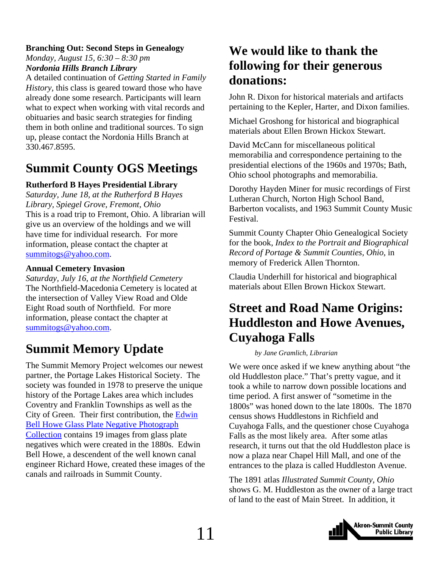### <span id="page-10-0"></span>**Branching Out: Second Steps in Genealogy**

*Monday, August 15, 6:30 – 8:30 pm Nordonia Hills Branch Library* 

A detailed continuation of *Getting Started in Family History,* this class is geared toward those who have already done some research. Participants will learn what to expect when working with vital records and obituaries and basic search strategies for finding them in both online and traditional sources. To sign up, please contact the Nordonia Hills Branch at 330.467.8595.

# **Summit County OGS Meetings**

#### **Rutherford B Hayes Presidential Library**

*Saturday, June 18, at the Rutherford B Hayes Library, Spiegel Grove, Fremont, Ohio*  This is a road trip to Fremont, Ohio. A librarian will give us an overview of the holdings and we will have time for individual research. For more information, please contact the chapter at summitogs@yahoo.com.

#### **Annual Cemetery Invasion**

*Saturday, July 16, at the Northfield Cemetery*  The Northfield-Macedonia Cemetery is located at the intersection of Valley View Road and Olde Eight Road south of Northfield. For more information, please contact the chapter at summitogs@yahoo.com.

# **Summit Memory Update**

The Summit Memory Project welcomes our newest partner, the Portage Lakes Historical Society. The society was founded in 1978 to preserve the unique history of the Portage Lakes area which includes Coventry and Franklin Townships as well as the [City of Green. Their first contribution, the Edwin](http://www.summitmemory.org/cdm4/browse.php)  Bell Howe Glass Plate Negative Photograph Collection contains 19 images from glass plate negatives which were created in the 1880s. Edwin Bell Howe, a descendent of the well known canal engineer Richard Howe, created these images of the canals and railroads in Summit County.

# **We would like to thank the following for their generous donations:**

John R. Dixon for historical materials and artifacts pertaining to the Kepler, Harter, and Dixon families.

Michael Groshong for historical and biographical materials about Ellen Brown Hickox Stewart.

David McCann for miscellaneous political memorabilia and correspondence pertaining to the presidential elections of the 1960s and 1970s; Bath, Ohio school photographs and memorabilia.

Dorothy Hayden Miner for music recordings of First Lutheran Church, Norton High School Band, Barberton vocalists, and 1963 Summit County Music Festival.

Summit County Chapter Ohio Genealogical Society for the book, *Index to the Portrait and Biographical Record of Portage & Summit Counties, Ohio*, in memory of Frederick Allen Thornton.

Claudia Underhill for historical and biographical materials about Ellen Brown Hickox Stewart.

# **Street and Road Name Origins: Huddleston and Howe Avenues, Cuyahoga Falls**

#### *by Jane Gramlich, Librarian*

We were once asked if we knew anything about "the old Huddleston place." That's pretty vague, and it took a while to narrow down possible locations and time period. A first answer of "sometime in the 1800s" was honed down to the late 1800s. The 1870 census shows Huddlestons in Richfield and Cuyahoga Falls, and the questioner chose Cuyahoga Falls as the most likely area. After some atlas research, it turns out that the old Huddleston place is now a plaza near Chapel Hill Mall, and one of the entrances to the plaza is called Huddleston Avenue.

The 1891 atlas *Illustrated Summit County, Ohio* shows G. M. Huddleston as the owner of a large tract of land to the east of Main Street. In addition, it

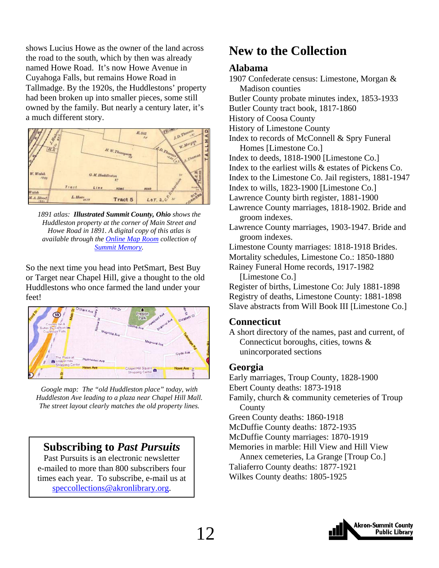<span id="page-11-0"></span>shows Lucius Howe as the owner of the land across the road to the south, which by then was already named Howe Road. It's now Howe Avenue in Cuyahoga Falls, but remains Howe Road in Tallmadge. By the 1920s, the Huddlestons' property had been broken up into smaller pieces, some still owned by the family. But nearly a century later, it's a much different story.



*1891 atlas: Illustrated Summit County, Ohio shows the Huddleston property at the corner of Main Street and Howe Road in 1891. A digital copy of this atlas is available through the [Online Map Room](http://www.summitmemory.org/cdm4/onlinemaproom.php) collection of [Summit Memory.](http://www.summitmemory.org/index.php)* 

So the next time you head into PetSmart, Best Buy or Target near Chapel Hill, give a thought to the old Huddlestons who once farmed the land under your feet!



*Google map: The "old Huddleston place" today, with Huddleston Ave leading to a plaza near Chapel Hill Mall. The street layout clearly matches the old property lines.* 

# **Subscribing to** *Past Pursuits*

Past Pursuits is an electronic newsletter e-mailed to more than 800 subscribers four times each year. To subscribe, e-mail us at speccollections@akronlibrary.org.

# **New to the Collection**

#### **Alabama**

1907 Confederate census: Limestone, Morgan & Madison counties Butler County probate minutes index, 1853-1933 Butler County tract book, 1817-1860 History of Coosa County History of Limestone County Index to records of McConnell & Spry Funeral Homes [Limestone Co.] Index to deeds, 1818-1900 [Limestone Co.] Index to the earliest wills & estates of Pickens Co. Index to the Limestone Co. Jail registers, 1881-1947 Index to wills, 1823-1900 [Limestone Co.] Lawrence County birth register, 1881-1900 Lawrence County marriages, 1818-1902. Bride and groom indexes. Lawrence County marriages, 1903-1947. Bride and groom indexes. Limestone County marriages: 1818-1918 Brides. Mortality schedules, Limestone Co.: 1850-1880 Rainey Funeral Home records, 1917-1982 [Limestone Co.] Register of births, Limestone Co: July 1881-1898 Registry of deaths, Limestone County: 1881-1898 Slave abstracts from Will Book III [Limestone Co.]

#### **Connecticut**

A short directory of the names, past and current, of Connecticut boroughs, cities, towns & unincorporated sections

#### **Georgia**

Early marriages, Troup County, 1828-1900

Ebert County deaths: 1873-1918

Family, church & community cemeteries of Troup County

Green County deaths: 1860-1918

McDuffie County deaths: 1872-1935

McDuffie County marriages: 1870-1919

Memories in marble: Hill View and Hill View

 Annex cemeteries, La Grange [Troup Co.] Taliaferro County deaths: 1877-1921 Wilkes County deaths: 1805-1925

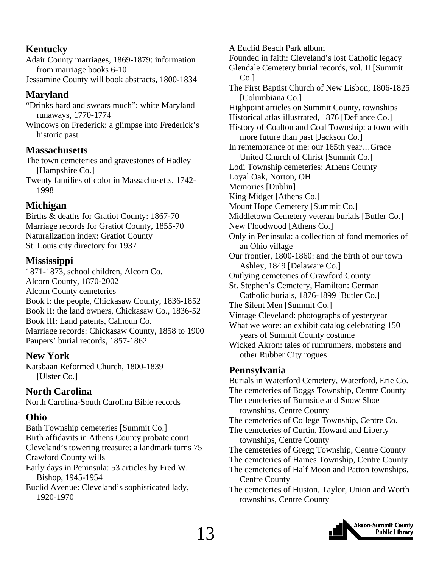# **Kentucky**

Adair County marriages, 1869-1879: information from marriage books 6-10 Jessamine County will book abstracts, 1800-1834

### **Maryland**

"Drinks hard and swears much": white Maryland runaways, 1770-1774

Windows on Frederick: a glimpse into Frederick's historic past

### **Massachusetts**

The town cemeteries and gravestones of Hadley [Hampshire Co.]

Twenty families of color in Massachusetts, 1742- 1998

# **Michigan**

Births & deaths for Gratiot County: 1867-70 Marriage records for Gratiot County, 1855-70 Naturalization index: Gratiot County St. Louis city directory for 1937

### **Mississippi**

1871-1873, school children, Alcorn Co. Alcorn County, 1870-2002 Alcorn County cemeteries Book I: the people, Chickasaw County, 1836-1852 Book II: the land owners, Chickasaw Co., 1836-52 Book III: Land patents, Calhoun Co. Marriage records: Chickasaw County, 1858 to 1900 Paupers' burial records, 1857-1862

### **New York**

Katsbaan Reformed Church, 1800-1839 [Ulster Co.]

# **North Carolina**

North Carolina-South Carolina Bible records

### **Ohio**

Bath Township cemeteries [Summit Co.] Birth affidavits in Athens County probate court Cleveland's towering treasure: a landmark turns 75 Crawford County wills Early days in Peninsula: 53 articles by Fred W. Bishop, 1945-1954 Euclid Avenue: Cleveland's sophisticated lady, 1920-1970

A Euclid Beach Park album Founded in faith: Cleveland's lost Catholic legacy Glendale Cemetery burial records, vol. II [Summit Co.] The First Baptist Church of New Lisbon, 1806-1825 [Columbiana Co.] Highpoint articles on Summit County, townships Historical atlas illustrated, 1876 [Defiance Co.] History of Coalton and Coal Township: a town with more future than past [Jackson Co.] In remembrance of me: our 165th year…Grace United Church of Christ [Summit Co.] Lodi Township cemeteries: Athens County Loyal Oak, Norton, OH Memories [Dublin] King Midget [Athens Co.] Mount Hope Cemetery [Summit Co.] Middletown Cemetery veteran burials [Butler Co.] New Floodwood [Athens Co.] Only in Peninsula: a collection of fond memories of an Ohio village Our frontier, 1800-1860: and the birth of our town Ashley, 1849 [Delaware Co.] Outlying cemeteries of Crawford County St. Stephen's Cemetery, Hamilton: German Catholic burials, 1876-1899 [Butler Co.] The Silent Men [Summit Co.] Vintage Cleveland: photographs of yesteryear What we wore: an exhibit catalog celebrating 150 years of Summit County costume Wicked Akron: tales of rumrunners, mobsters and other Rubber City rogues **Pennsylvania**  Burials in Waterford Cemetery, Waterford, Erie Co. The cemeteries of Boggs Township, Centre County

The cemeteries of Burnside and Snow Shoe townships, Centre County The cemeteries of College Township, Centre Co. The cemeteries of Curtin, Howard and Liberty townships, Centre County The cemeteries of Gregg Township, Centre County

- The cemeteries of Haines Township, Centre County
- The cemeteries of Half Moon and Patton townships, Centre County
- The cemeteries of Huston, Taylor, Union and Worth townships, Centre County

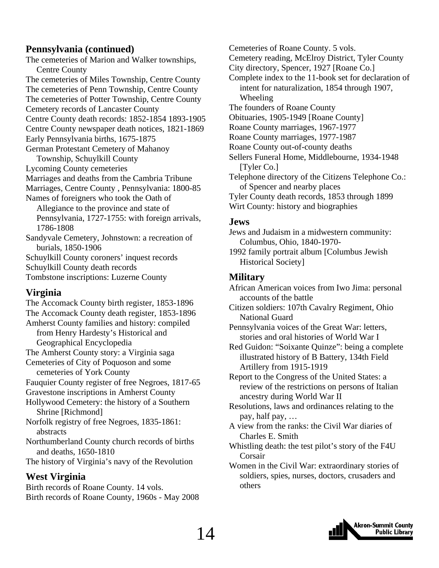### **Pennsylvania (continued)**

The cemeteries of Marion and Walker townships, Centre County The cemeteries of Miles Township, Centre County The cemeteries of Penn Township, Centre County The cemeteries of Potter Township, Centre County Cemetery records of Lancaster County Centre County death records: 1852-1854 1893-1905 Centre County newspaper death notices, 1821-1869 Early Pennsylvania births, 1675-1875 German Protestant Cemetery of Mahanoy Township, Schuylkill County Lycoming County cemeteries Marriages and deaths from the Cambria Tribune Marriages, Centre County , Pennsylvania: 1800-85 Names of foreigners who took the Oath of Allegiance to the province and state of Pennsylvania, 1727-1755: with foreign arrivals, 1786-1808 Sandyvale Cemetery, Johnstown: a recreation of burials, 1850-1906 Schuylkill County coroners' inquest records Schuylkill County death records Tombstone inscriptions: Luzerne County

# **Virginia**

The Accomack County birth register, 1853-1896 The Accomack County death register, 1853-1896 Amherst County families and history: compiled from Henry Hardesty's Historical and Geographical Encyclopedia The Amherst County story: a Virginia saga Cemeteries of City of Poquoson and some cemeteries of York County Fauquier County register of free Negroes, 1817-65 Gravestone inscriptions in Amherst County Hollywood Cemetery: the history of a Southern Shrine [Richmond] Norfolk registry of free Negroes, 1835-1861: abstracts Northumberland County church records of births and deaths, 1650-1810 The history of Virginia's navy of the Revolution

# **West Virginia**

Birth records of Roane County. 14 vols. Birth records of Roane County, 1960s - May 2008

Cemeteries of Roane County. 5 vols. Cemetery reading, McElroy District, Tyler County City directory, Spencer, 1927 [Roane Co.] Complete index to the 11-book set for declaration of intent for naturalization, 1854 through 1907, Wheeling The founders of Roane County Obituaries, 1905-1949 [Roane County] Roane County marriages, 1967-1977 Roane County marriages, 1977-1987 Roane County out-of-county deaths Sellers Funeral Home, Middlebourne, 1934-1948 [Tyler Co.] Telephone directory of the Citizens Telephone Co.: of Spencer and nearby places Tyler County death records, 1853 through 1899 Wirt County: history and biographies

### **Jews**

Jews and Judaism in a midwestern community: Columbus, Ohio, 1840-1970-

1992 family portrait album [Columbus Jewish Historical Society]

# **Military**

African American voices from Iwo Jima: personal accounts of the battle

Citizen soldiers: 107th Cavalry Regiment, Ohio National Guard

Pennsylvania voices of the Great War: letters, stories and oral histories of World War I

Red Guidon: "Soixante Quinze": being a complete illustrated history of B Battery, 134th Field Artillery from 1915-1919

Report to the Congress of the United States: a review of the restrictions on persons of Italian ancestry during World War II

Resolutions, laws and ordinances relating to the pay, half pay, …

- A view from the ranks: the Civil War diaries of Charles E. Smith
- Whistling death: the test pilot's story of the F4U Corsair

Women in the Civil War: extraordinary stories of soldiers, spies, nurses, doctors, crusaders and others

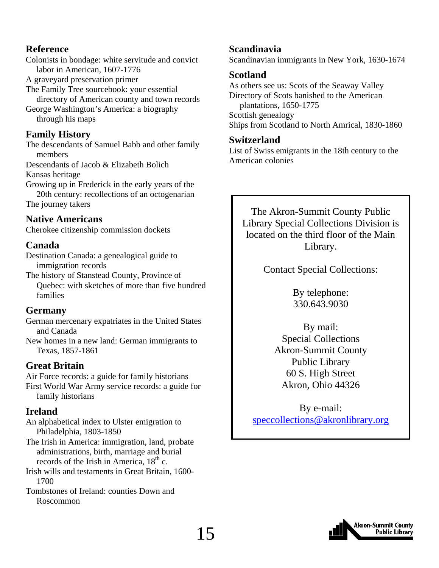### **Reference**

Colonists in bondage: white servitude and convict labor in American, 1607-1776

A graveyard preservation primer

The Family Tree sourcebook: your essential directory of American county and town records George Washington's America: a biography

through his maps

# **Family History**

The descendants of Samuel Babb and other family members

Descendants of Jacob & Elizabeth Bolich Kansas heritage

Growing up in Frederick in the early years of the 20th century: recollections of an octogenarian The journey takers

# **Native Americans**

Cherokee citizenship commission dockets

# **Canada**

Destination Canada: a genealogical guide to immigration records

The history of Stanstead County, Province of Quebec: with sketches of more than five hundred families

# **Germany**

German mercenary expatriates in the United States and Canada

New homes in a new land: German immigrants to Texas, 1857-1861

# **Great Britain**

Air Force records: a guide for family historians First World War Army service records: a guide for family historians

# **Ireland**

An alphabetical index to Ulster emigration to Philadelphia, 1803-1850

The Irish in America: immigration, land, probate administrations, birth, marriage and burial records of the Irish in America,  $18<sup>th</sup>$  c.

Irish wills and testaments in Great Britain, 1600- 1700

Tombstones of Ireland: counties Down and Roscommon

# **Scandinavia**

Scandinavian immigrants in New York, 1630-1674

# **Scotland**

As others see us: Scots of the Seaway Valley Directory of Scots banished to the American plantations, 1650-1775 Scottish genealogy Ships from Scotland to North Amrical, 1830-1860

### **Switzerland**

List of Swiss emigrants in the 18th century to the American colonies

The Akron-Summit County Public Library Special Collections Division is located on the third floor of the Main Library.

Contact Special Collections:

By telephone: 330.643.9030

By mail: Special Collections Akron-Summit County Public Library 60 S. High Street Akron, Ohio 44326

By e-mail: speccollections@akronlibrary.org